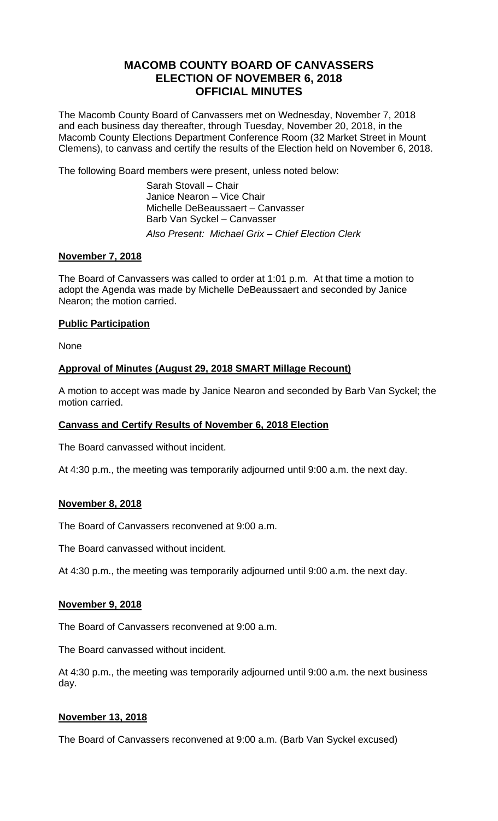# **MACOMB COUNTY BOARD OF CANVASSERS ELECTION OF NOVEMBER 6, 2018 OFFICIAL MINUTES**

The Macomb County Board of Canvassers met on Wednesday, November 7, 2018 and each business day thereafter, through Tuesday, November 20, 2018, in the Macomb County Elections Department Conference Room (32 Market Street in Mount Clemens), to canvass and certify the results of the Election held on November 6, 2018.

The following Board members were present, unless noted below:

 Sarah Stovall – Chair Janice Nearon – Vice Chair Michelle DeBeaussaert – Canvasser Barb Van Syckel – Canvasser *Also Present: Michael Grix – Chief Election Clerk* 

## **November 7, 2018**

The Board of Canvassers was called to order at 1:01 p.m. At that time a motion to adopt the Agenda was made by Michelle DeBeaussaert and seconded by Janice Nearon; the motion carried.

## **Public Participation**

None

## **Approval of Minutes (August 29, 2018 SMART Millage Recount)**

A motion to accept was made by Janice Nearon and seconded by Barb Van Syckel; the motion carried.

### **Canvass and Certify Results of November 6, 2018 Election**

The Board canvassed without incident.

At 4:30 p.m., the meeting was temporarily adjourned until 9:00 a.m. the next day.

### **November 8, 2018**

The Board of Canvassers reconvened at 9:00 a.m.

The Board canvassed without incident.

At 4:30 p.m., the meeting was temporarily adjourned until 9:00 a.m. the next day.

### **November 9, 2018**

The Board of Canvassers reconvened at 9:00 a.m.

The Board canvassed without incident.

At 4:30 p.m., the meeting was temporarily adjourned until 9:00 a.m. the next business day.

### **November 13, 2018**

The Board of Canvassers reconvened at 9:00 a.m. (Barb Van Syckel excused)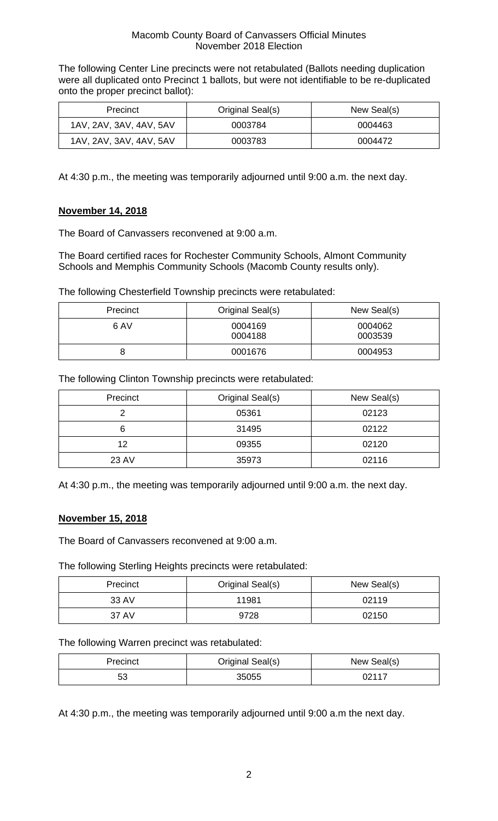The following Center Line precincts were not retabulated (Ballots needing duplication were all duplicated onto Precinct 1 ballots, but were not identifiable to be re-duplicated onto the proper precinct ballot):

| <b>Precinct</b>         | Original Seal(s) | New Seal(s) |
|-------------------------|------------------|-------------|
| 1AV, 2AV, 3AV, 4AV, 5AV | 0003784          | 0004463     |
| 1AV, 2AV, 3AV, 4AV, 5AV | 0003783          | 0004472     |

At 4:30 p.m., the meeting was temporarily adjourned until 9:00 a.m. the next day.

### **November 14, 2018**

The Board of Canvassers reconvened at 9:00 a.m.

The Board certified races for Rochester Community Schools, Almont Community Schools and Memphis Community Schools (Macomb County results only).

The following Chesterfield Township precincts were retabulated:

| Precinct | Original Seal(s)   | New Seal(s)        |
|----------|--------------------|--------------------|
| 6 AV     | 0004169<br>0004188 | 0004062<br>0003539 |
| O        | 0001676            | 0004953            |

The following Clinton Township precincts were retabulated:

| Precinct | Original Seal(s) | New Seal(s) |
|----------|------------------|-------------|
|          | 05361            | 02123       |
| 6        | 31495            | 02122       |
| 12       | 09355            | 02120       |
| 23 AV    | 35973            | 02116       |

At 4:30 p.m., the meeting was temporarily adjourned until 9:00 a.m. the next day.

### **November 15, 2018**

The Board of Canvassers reconvened at 9:00 a.m.

The following Sterling Heights precincts were retabulated:

| Precinct | Original Seal(s) | New Seal(s) |
|----------|------------------|-------------|
| 33 AV    | 11981            | 02119       |
| 37 AV    | 9728             | 02150       |

The following Warren precinct was retabulated:

| Precinct | Original Seal(s) | New Seal(s) |
|----------|------------------|-------------|
| よる<br>၁၁ | 35055            | ∩?117       |

At 4:30 p.m., the meeting was temporarily adjourned until 9:00 a.m the next day.